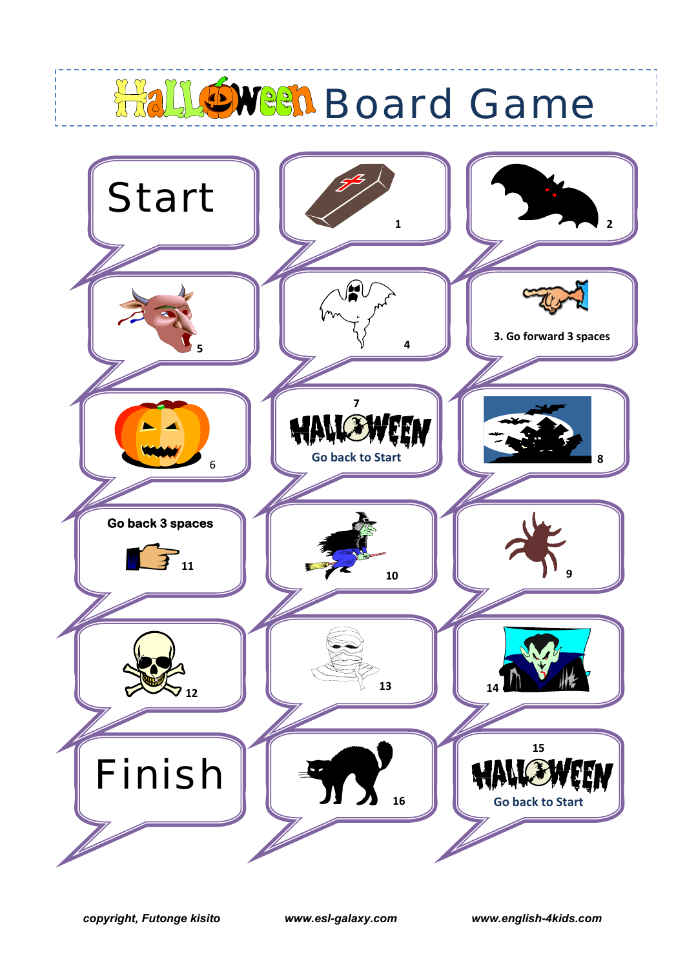## **Hall Owen Board Game**

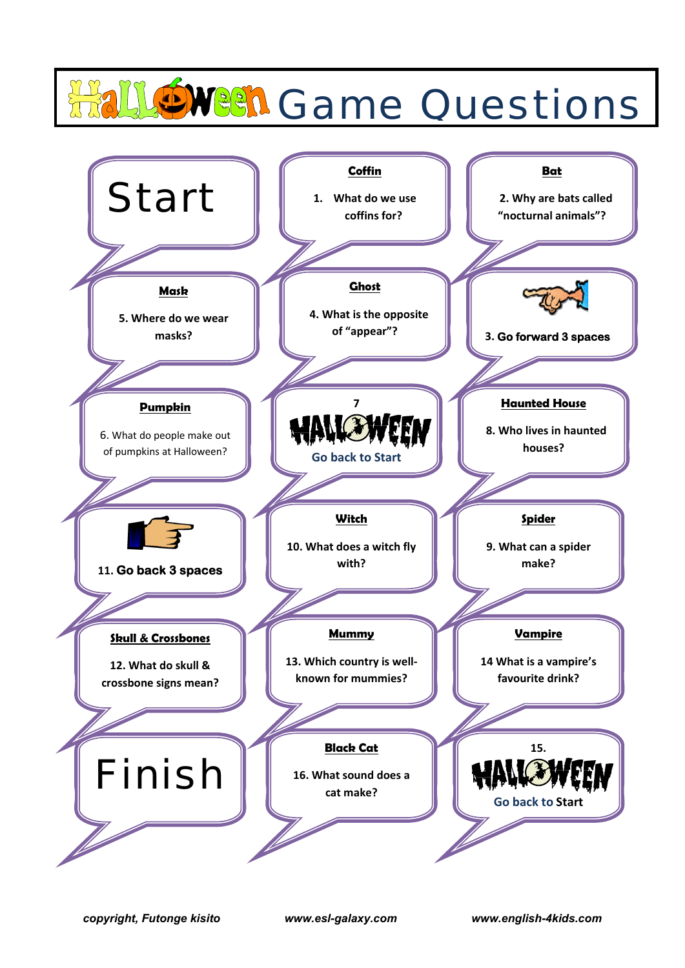## LOWER Game Questions